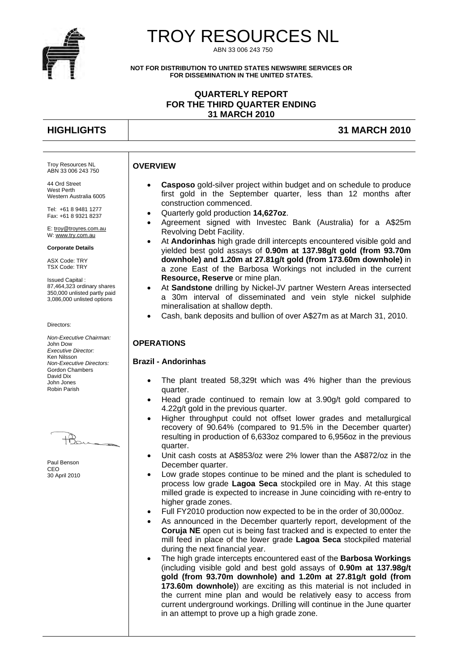

# TROY RESOURCES NL

ABN 33 006 243 750

**NOT FOR DISTRIBUTION TO UNITED STATES NEWSWIRE SERVICES OR FOR DISSEMINATION IN THE UNITED STATES.** 

#### **QUARTERLY REPORT FOR THE THIRD QUARTER ENDING 31 MARCH 2010**

Troy Resources NL ABN 33 006 243 750 44 Ord Street West Perth

Western Australia 6005 Tel: +61 8 9481 1277 Fax: +61 8 9321 8237 E: troy@troyres.com.au W: www.try.com.au **Corporate Details**  ASX Code: TRY TSX Code: TRY Issued Capital :

### **HIGHLIGHTS 31 MARCH 2010**

#### **OVERVIEW**

- **Casposo** gold-silver project within budget and on schedule to produce first gold in the September quarter, less than 12 months after construction commenced.
- Quarterly gold production **14,627oz**.
- Agreement signed with Investec Bank (Australia) for a A\$25m Revolving Debt Facility.
- At **Andorinhas** high grade drill intercepts encountered visible gold and yielded best gold assays of **0.90m at 137.98g/t gold (from 93.70m downhole) and 1.20m at 27.81g/t gold (from 173.60m downhole)** in a zone East of the Barbosa Workings not included in the current **Resource, Reserve** or mine plan.
- At **Sandstone** drilling by Nickel-JV partner Western Areas intersected a 30m interval of disseminated and vein style nickel sulphide mineralisation at shallow depth.
- Cash, bank deposits and bullion of over A\$27m as at March 31, 2010.

#### **OPERATIONS**

#### **Brazil - Andorinhas**

- The plant treated 58,329t which was 4% higher than the previous quarter.
	- Head grade continued to remain low at 3.90g/t gold compared to 4.22g/t gold in the previous quarter.
	- Higher throughput could not offset lower grades and metallurgical recovery of 90.64% (compared to 91.5% in the December quarter) resulting in production of 6,633oz compared to 6,956oz in the previous quarter.
	- Unit cash costs at A\$853/oz were 2% lower than the A\$872/oz in the December quarter.
	- Low grade stopes continue to be mined and the plant is scheduled to process low grade **Lagoa Seca** stockpiled ore in May. At this stage milled grade is expected to increase in June coinciding with re-entry to higher grade zones.
- Full FY2010 production now expected to be in the order of 30,000oz.
- As announced in the December quarterly report, development of the **Coruja NE** open cut is being fast tracked and is expected to enter the mill feed in place of the lower grade **Lagoa Seca** stockpiled material during the next financial year.
- The high grade intercepts encountered east of the **Barbosa Workings** (including visible gold and best gold assays of **0.90m at 137.98g/t gold (from 93.70m downhole) and 1.20m at 27.81g/t gold (from 173.60m downhole)**) are exciting as this material is not included in the current mine plan and would be relatively easy to access from current underground workings. Drilling will continue in the June quarter in an attempt to prove up a high grade zone.

*Non-Executive Chairman:*  John Dow *Executive Director:*  Ken Nilsson *Non-Executive Directors:*  Gordon Chambers David Dix John Jones

Directors:

Robin Parish

87,464,323 ordinary shares 350,000 unlisted partly paid 3,086,000 unlisted options

Paul Benson C<sub>EO</sub> 30 April 2010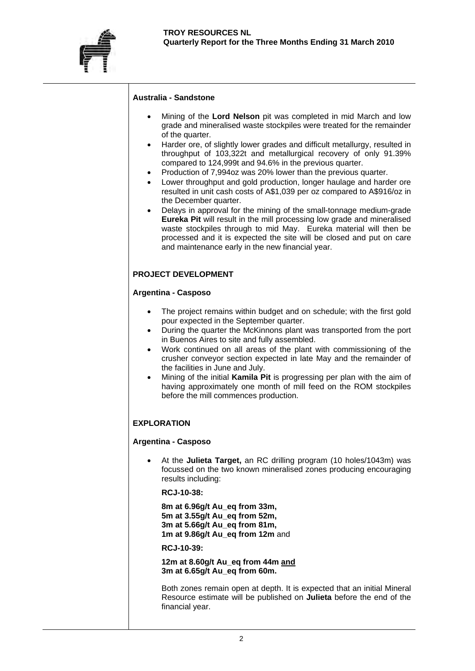

#### **Australia - Sandstone**

- Mining of the **Lord Nelson** pit was completed in mid March and low grade and mineralised waste stockpiles were treated for the remainder of the quarter.
- Harder ore, of slightly lower grades and difficult metallurgy, resulted in throughput of 103,322t and metallurgical recovery of only 91.39% compared to 124,999t and 94.6% in the previous quarter.
- Production of 7,994oz was 20% lower than the previous quarter.
- Lower throughput and gold production, longer haulage and harder ore resulted in unit cash costs of A\$1,039 per oz compared to A\$916/oz in the December quarter.
- Delays in approval for the mining of the small-tonnage medium-grade **Eureka Pit** will result in the mill processing low grade and mineralised waste stockpiles through to mid May. Eureka material will then be processed and it is expected the site will be closed and put on care and maintenance early in the new financial year.

### **PROJECT DEVELOPMENT**

#### **Argentina - Casposo**

- The project remains within budget and on schedule; with the first gold pour expected in the September quarter.
- During the quarter the McKinnons plant was transported from the port in Buenos Aires to site and fully assembled.
- Work continued on all areas of the plant with commissioning of the crusher conveyor section expected in late May and the remainder of the facilities in June and July.
- Mining of the initial **Kamila Pit** is progressing per plan with the aim of having approximately one month of mill feed on the ROM stockpiles before the mill commences production.

### **EXPLORATION**

#### **Argentina - Casposo**

 At the **Julieta Target,** an RC drilling program (10 holes/1043m) was focussed on the two known mineralised zones producing encouraging results including:

 **RCJ-10-38:** 

**8m at 6.96g/t Au\_eq from 33m, 5m at 3.55g/t Au\_eq from 52m, 3m at 5.66g/t Au\_eq from 81m, 1m at 9.86g/t Au\_eq from 12m** and

**RCJ-10-39:** 

**12m at 8.60g/t Au\_eq from 44m and 3m at 6.65g/t Au\_eq from 60m.**

Both zones remain open at depth. It is expected that an initial Mineral Resource estimate will be published on **Julieta** before the end of the financial year.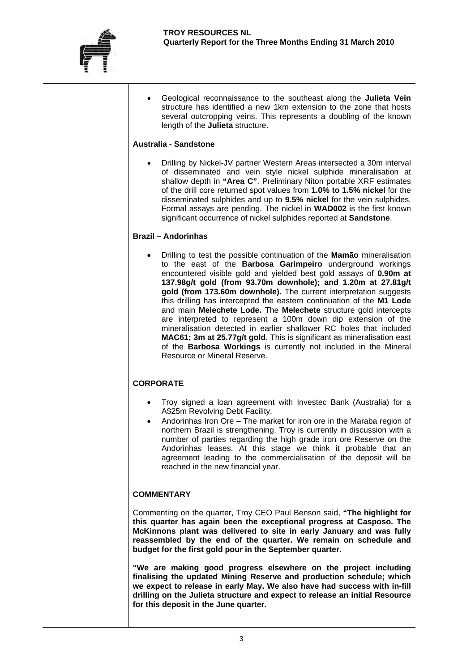

 Geological reconnaissance to the southeast along the **Julieta Vein** structure has identified a new 1km extension to the zone that hosts several outcropping veins. This represents a doubling of the known length of the **Julieta** structure.

#### **Australia - Sandstone**

 Drilling by Nickel-JV partner Western Areas intersected a 30m interval of disseminated and vein style nickel sulphide mineralisation at shallow depth in **"Area C"**. Preliminary Niton portable XRF estimates of the drill core returned spot values from **1.0% to 1.5% nickel** for the disseminated sulphides and up to **9.5% nickel** for the vein sulphides. Formal assays are pending. The nickel in **WAD002** is the first known significant occurrence of nickel sulphides reported at **Sandstone**.

#### **Brazil – Andorinhas**

 Drilling to test the possible continuation of the **Mamão** mineralisation to the east of the **Barbosa Garimpeiro** underground workings encountered visible gold and yielded best gold assays of **0.90m at 137.98g/t gold (from 93.70m downhole); and 1.20m at 27.81g/t gold (from 173.60m downhole).** The current interpretation suggests this drilling has intercepted the eastern continuation of the **M1 Lode** and main **Melechete Lode.** The **Melechete** structure gold intercepts are interpreted to represent a 100m down dip extension of the mineralisation detected in earlier shallower RC holes that included **MAC61; 3m at 25.77g/t gold**. This is significant as mineralisation east of the **Barbosa Workings** is currently not included in the Mineral Resource or Mineral Reserve.

### **CORPORATE**

- Troy signed a loan agreement with Investec Bank (Australia) for a A\$25m Revolving Debt Facility.
- Andorinhas Iron Ore The market for iron ore in the Maraba region of northern Brazil is strengthening. Troy is currently in discussion with a number of parties regarding the high grade iron ore Reserve on the Andorinhas leases. At this stage we think it probable that an agreement leading to the commercialisation of the deposit will be reached in the new financial year.

### **COMMENTARY**

Commenting on the quarter, Troy CEO Paul Benson said, **"The highlight for this quarter has again been the exceptional progress at Casposo. The McKinnons plant was delivered to site in early January and was fully reassembled by the end of the quarter. We remain on schedule and budget for the first gold pour in the September quarter.** 

**"We are making good progress elsewhere on the project including finalising the updated Mining Reserve and production schedule; which we expect to release in early May. We also have had success with in-fill drilling on the Julieta structure and expect to release an initial Resource for this deposit in the June quarter.**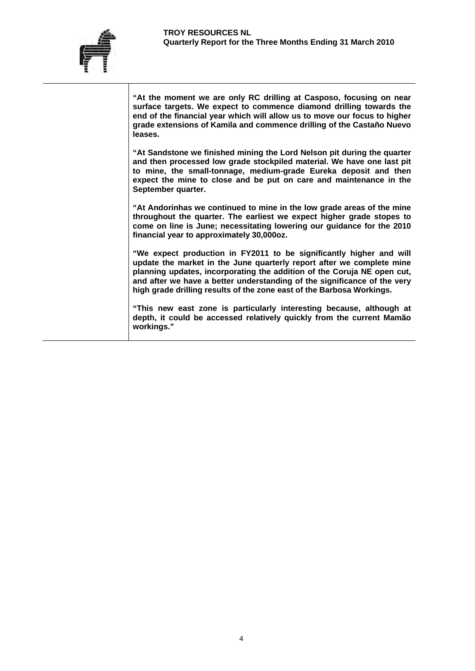

**"At the moment we are only RC drilling at Casposo, focusing on near surface targets. We expect to commence diamond drilling towards the end of the financial year which will allow us to move our focus to higher grade extensions of Kamila and commence drilling of the Castaño Nuevo leases.** 

**"At Sandstone we finished mining the Lord Nelson pit during the quarter and then processed low grade stockpiled material. We have one last pit to mine, the small-tonnage, medium-grade Eureka deposit and then expect the mine to close and be put on care and maintenance in the September quarter.** 

**"At Andorinhas we continued to mine in the low grade areas of the mine throughout the quarter. The earliest we expect higher grade stopes to come on line is June; necessitating lowering our guidance for the 2010 financial year to approximately 30,000oz.** 

**"We expect production in FY2011 to be significantly higher and will update the market in the June quarterly report after we complete mine planning updates, incorporating the addition of the Coruja NE open cut, and after we have a better understanding of the significance of the very high grade drilling results of the zone east of the Barbosa Workings.** 

**"This new east zone is particularly interesting because, although at depth, it could be accessed relatively quickly from the current Mamão workings."**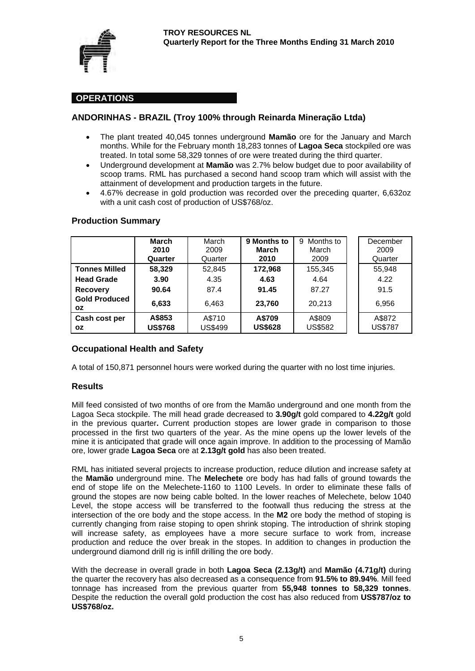

### **OPERATIONS**

### **ANDORINHAS - BRAZIL (Troy 100% through Reinarda Mineração Ltda)**

- The plant treated 40,045 tonnes underground **Mamão** ore for the January and March months. While for the February month 18,283 tonnes of **Lagoa Seca** stockpiled ore was treated. In total some 58,329 tonnes of ore were treated during the third quarter.
- Underground development at **Mamão** was 2.7% below budget due to poor availability of scoop trams. RML has purchased a second hand scoop tram which will assist with the attainment of development and production targets in the future.
- 4.67% decrease in gold production was recorded over the preceding quarter, 6,632oz with a unit cash cost of production of US\$768/oz.

|                                   | <b>March</b><br>2010<br>Quarter | March<br>2009<br>Quarter | 9 Months to<br>March<br>2010 | Months to<br>9<br>March<br>2009 | December<br>2009<br>Quarter |
|-----------------------------------|---------------------------------|--------------------------|------------------------------|---------------------------------|-----------------------------|
| <b>Tonnes Milled</b>              | 58,329                          | 52,845                   | 172,968                      | 155,345                         | 55,948                      |
| <b>Head Grade</b>                 | 3.90                            | 4.35                     | 4.63                         | 4.64                            | 4.22                        |
| <b>Recovery</b>                   | 90.64                           | 87.4                     | 91.45                        | 87.27                           | 91.5                        |
| <b>Gold Produced</b><br><b>OZ</b> | 6,633                           | 6.463                    | 23,760                       | 20.213                          | 6.956                       |
| Cash cost per<br>OZ.              | A\$853<br><b>US\$768</b>        | A\$710<br><b>US\$499</b> | A\$709<br><b>US\$628</b>     | A\$809<br><b>US\$582</b>        | A\$872<br><b>US\$787</b>    |

#### **Production Summary**

### **Occupational Health and Safety**

A total of 150,871 personnel hours were worked during the quarter with no lost time injuries.

#### **Results**

Mill feed consisted of two months of ore from the Mamão underground and one month from the Lagoa Seca stockpile. The mill head grade decreased to **3.90g/t** gold compared to **4.22g/t** gold in the previous quarter**.** Current production stopes are lower grade in comparison to those processed in the first two quarters of the year. As the mine opens up the lower levels of the mine it is anticipated that grade will once again improve. In addition to the processing of Mamão ore, lower grade **Lagoa Seca** ore at **2.13g/t gold** has also been treated.

RML has initiated several projects to increase production, reduce dilution and increase safety at the **Mamão** underground mine. The **Melechete** ore body has had falls of ground towards the end of stope life on the Melechete-1160 to 1100 Levels. In order to eliminate these falls of ground the stopes are now being cable bolted. In the lower reaches of Melechete, below 1040 Level, the stope access will be transferred to the footwall thus reducing the stress at the intersection of the ore body and the stope access. In the **M2** ore body the method of stoping is currently changing from raise stoping to open shrink stoping. The introduction of shrink stoping will increase safety, as employees have a more secure surface to work from, increase production and reduce the over break in the stopes. In addition to changes in production the underground diamond drill rig is infill drilling the ore body.

With the decrease in overall grade in both **Lagoa Seca (2.13g/t)** and **Mamão (4.71g/t)** during the quarter the recovery has also decreased as a consequence from **91.5% to 89.94%**. Mill feed tonnage has increased from the previous quarter from **55,948 tonnes to 58,329 tonnes**. Despite the reduction the overall gold production the cost has also reduced from **US\$787/oz to US\$768/oz.**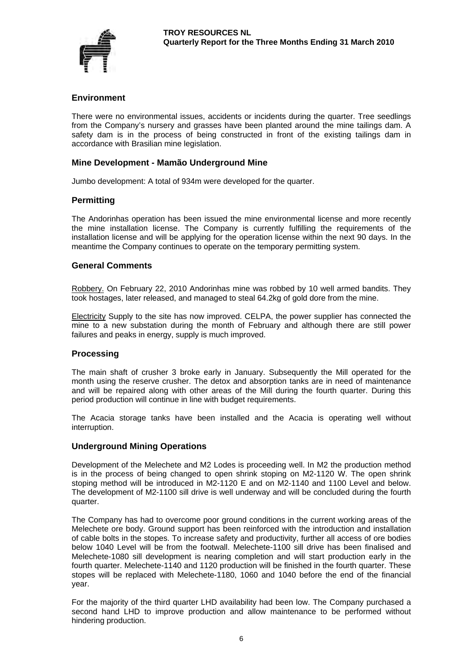

#### **Environment**

There were no environmental issues, accidents or incidents during the quarter. Tree seedlings from the Company's nursery and grasses have been planted around the mine tailings dam. A safety dam is in the process of being constructed in front of the existing tailings dam in accordance with Brasilian mine legislation.

#### **Mine Development - Mamão Underground Mine**

Jumbo development: A total of 934m were developed for the quarter.

#### **Permitting**

The Andorinhas operation has been issued the mine environmental license and more recently the mine installation license. The Company is currently fulfilling the requirements of the installation license and will be applying for the operation license within the next 90 days. In the meantime the Company continues to operate on the temporary permitting system.

### **General Comments**

Robbery. On February 22, 2010 Andorinhas mine was robbed by 10 well armed bandits. They took hostages, later released, and managed to steal 64.2kg of gold dore from the mine.

Electricity Supply to the site has now improved. CELPA, the power supplier has connected the mine to a new substation during the month of February and although there are still power failures and peaks in energy, supply is much improved.

#### **Processing**

The main shaft of crusher 3 broke early in January. Subsequently the Mill operated for the month using the reserve crusher. The detox and absorption tanks are in need of maintenance and will be repaired along with other areas of the Mill during the fourth quarter. During this period production will continue in line with budget requirements.

The Acacia storage tanks have been installed and the Acacia is operating well without interruption.

#### **Underground Mining Operations**

Development of the Melechete and M2 Lodes is proceeding well. In M2 the production method is in the process of being changed to open shrink stoping on M2-1120 W. The open shrink stoping method will be introduced in M2-1120 E and on M2-1140 and 1100 Level and below. The development of M2-1100 sill drive is well underway and will be concluded during the fourth quarter.

The Company has had to overcome poor ground conditions in the current working areas of the Melechete ore body. Ground support has been reinforced with the introduction and installation of cable bolts in the stopes. To increase safety and productivity, further all access of ore bodies below 1040 Level will be from the footwall. Melechete-1100 sill drive has been finalised and Melechete-1080 sill development is nearing completion and will start production early in the fourth quarter. Melechete-1140 and 1120 production will be finished in the fourth quarter. These stopes will be replaced with Melechete-1180, 1060 and 1040 before the end of the financial year.

For the majority of the third quarter LHD availability had been low. The Company purchased a second hand LHD to improve production and allow maintenance to be performed without hindering production.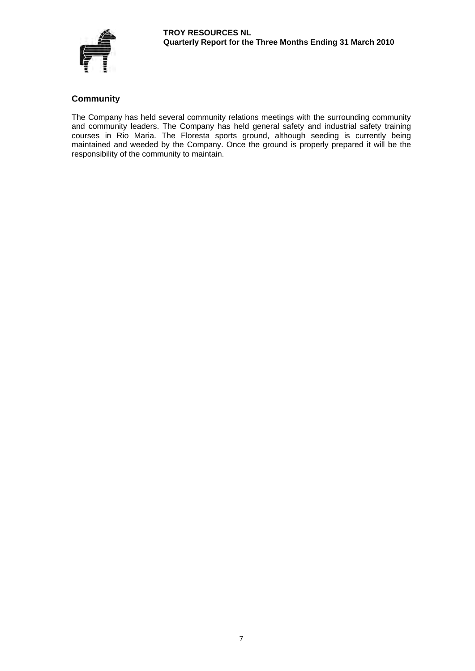

# **Community**

The Company has held several community relations meetings with the surrounding community and community leaders. The Company has held general safety and industrial safety training courses in Rio Maria. The Floresta sports ground, although seeding is currently being maintained and weeded by the Company. Once the ground is properly prepared it will be the responsibility of the community to maintain.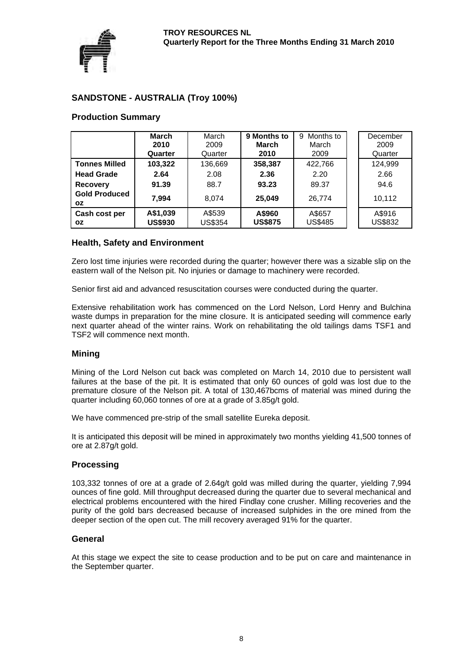

# **SANDSTONE - AUSTRALIA (Troy 100%)**

# **Production Summary**

|                            | <b>March</b><br>2010<br>Quarter | March<br>2009<br>Quarter | 9 Months to<br>March<br>2010 | Months to<br>9<br>March<br>2009 | December<br>2009<br>Quarter |
|----------------------------|---------------------------------|--------------------------|------------------------------|---------------------------------|-----------------------------|
| <b>Tonnes Milled</b>       | 103,322                         | 136,669                  | 358,387                      | 422.766                         | 124,999                     |
| <b>Head Grade</b>          | 2.64                            | 2.08                     | 2.36                         | 2.20                            | 2.66                        |
| <b>Recovery</b>            | 91.39                           | 88.7                     | 93.23                        | 89.37                           | 94.6                        |
| <b>Gold Produced</b><br>ΟZ | 7.994                           | 8.074                    | 25.049                       | 26.774                          | 10.112                      |
| Cash cost per<br>OZ.       | A\$1,039<br><b>US\$930</b>      | A\$539<br><b>US\$354</b> | A\$960<br><b>US\$875</b>     | A\$657<br><b>US\$485</b>        | A\$916<br><b>US\$832</b>    |

#### **Health, Safety and Environment**

Zero lost time injuries were recorded during the quarter; however there was a sizable slip on the eastern wall of the Nelson pit. No injuries or damage to machinery were recorded.

Senior first aid and advanced resuscitation courses were conducted during the quarter.

Extensive rehabilitation work has commenced on the Lord Nelson, Lord Henry and Bulchina waste dumps in preparation for the mine closure. It is anticipated seeding will commence early next quarter ahead of the winter rains. Work on rehabilitating the old tailings dams TSF1 and TSF2 will commence next month.

#### **Mining**

Mining of the Lord Nelson cut back was completed on March 14, 2010 due to persistent wall failures at the base of the pit. It is estimated that only 60 ounces of gold was lost due to the premature closure of the Nelson pit. A total of 130,467bcms of material was mined during the quarter including 60,060 tonnes of ore at a grade of 3.85g/t gold.

We have commenced pre-strip of the small satellite Eureka deposit.

It is anticipated this deposit will be mined in approximately two months yielding 41,500 tonnes of ore at 2.87g/t gold.

#### **Processing**

103,332 tonnes of ore at a grade of 2.64g/t gold was milled during the quarter, yielding 7,994 ounces of fine gold. Mill throughput decreased during the quarter due to several mechanical and electrical problems encountered with the hired Findlay cone crusher. Milling recoveries and the purity of the gold bars decreased because of increased sulphides in the ore mined from the deeper section of the open cut. The mill recovery averaged 91% for the quarter.

#### **General**

At this stage we expect the site to cease production and to be put on care and maintenance in the September quarter.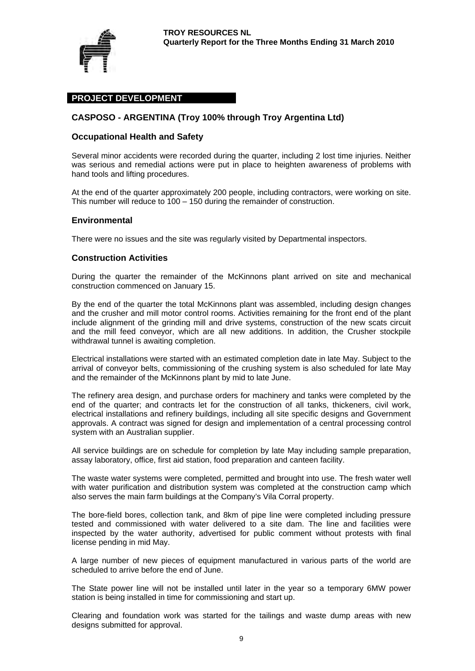

### **PROJECT DEVELOPMENT**

### **CASPOSO - ARGENTINA (Troy 100% through Troy Argentina Ltd)**

#### **Occupational Health and Safety**

Several minor accidents were recorded during the quarter, including 2 lost time injuries. Neither was serious and remedial actions were put in place to heighten awareness of problems with hand tools and lifting procedures.

At the end of the quarter approximately 200 people, including contractors, were working on site. This number will reduce to 100 – 150 during the remainder of construction.

#### **Environmental**

There were no issues and the site was regularly visited by Departmental inspectors.

#### **Construction Activities**

During the quarter the remainder of the McKinnons plant arrived on site and mechanical construction commenced on January 15.

By the end of the quarter the total McKinnons plant was assembled, including design changes and the crusher and mill motor control rooms. Activities remaining for the front end of the plant include alignment of the grinding mill and drive systems, construction of the new scats circuit and the mill feed conveyor, which are all new additions. In addition, the Crusher stockpile withdrawal tunnel is awaiting completion.

Electrical installations were started with an estimated completion date in late May. Subject to the arrival of conveyor belts, commissioning of the crushing system is also scheduled for late May and the remainder of the McKinnons plant by mid to late June.

The refinery area design, and purchase orders for machinery and tanks were completed by the end of the quarter; and contracts let for the construction of all tanks, thickeners, civil work, electrical installations and refinery buildings, including all site specific designs and Government approvals. A contract was signed for design and implementation of a central processing control system with an Australian supplier.

All service buildings are on schedule for completion by late May including sample preparation, assay laboratory, office, first aid station, food preparation and canteen facility.

The waste water systems were completed, permitted and brought into use. The fresh water well with water purification and distribution system was completed at the construction camp which also serves the main farm buildings at the Company's Vila Corral property.

The bore-field bores, collection tank, and 8km of pipe line were completed including pressure tested and commissioned with water delivered to a site dam. The line and facilities were inspected by the water authority, advertised for public comment without protests with final license pending in mid May.

A large number of new pieces of equipment manufactured in various parts of the world are scheduled to arrive before the end of June.

The State power line will not be installed until later in the year so a temporary 6MW power station is being installed in time for commissioning and start up.

Clearing and foundation work was started for the tailings and waste dump areas with new designs submitted for approval.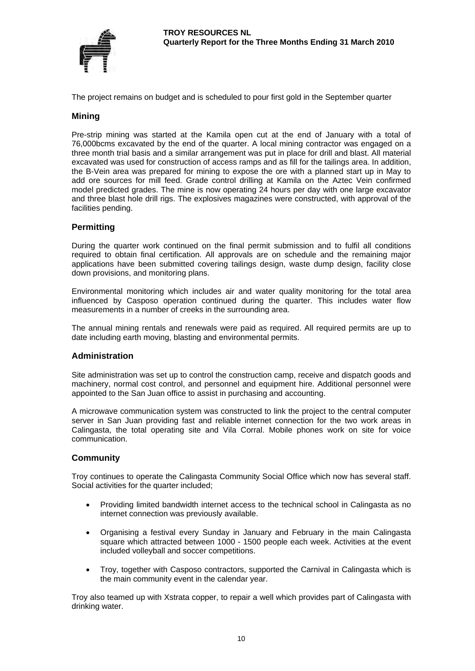

The project remains on budget and is scheduled to pour first gold in the September quarter

#### **Mining**

Pre-strip mining was started at the Kamila open cut at the end of January with a total of 76,000bcms excavated by the end of the quarter. A local mining contractor was engaged on a three month trial basis and a similar arrangement was put in place for drill and blast. All material excavated was used for construction of access ramps and as fill for the tailings area. In addition, the B-Vein area was prepared for mining to expose the ore with a planned start up in May to add ore sources for mill feed. Grade control drilling at Kamila on the Aztec Vein confirmed model predicted grades. The mine is now operating 24 hours per day with one large excavator and three blast hole drill rigs. The explosives magazines were constructed, with approval of the facilities pending.

#### **Permitting**

During the quarter work continued on the final permit submission and to fulfil all conditions required to obtain final certification. All approvals are on schedule and the remaining major applications have been submitted covering tailings design, waste dump design, facility close down provisions, and monitoring plans.

Environmental monitoring which includes air and water quality monitoring for the total area influenced by Casposo operation continued during the quarter. This includes water flow measurements in a number of creeks in the surrounding area.

The annual mining rentals and renewals were paid as required. All required permits are up to date including earth moving, blasting and environmental permits.

#### **Administration**

Site administration was set up to control the construction camp, receive and dispatch goods and machinery, normal cost control, and personnel and equipment hire. Additional personnel were appointed to the San Juan office to assist in purchasing and accounting.

A microwave communication system was constructed to link the project to the central computer server in San Juan providing fast and reliable internet connection for the two work areas in Calingasta, the total operating site and Vila Corral. Mobile phones work on site for voice communication.

#### **Community**

Troy continues to operate the Calingasta Community Social Office which now has several staff. Social activities for the quarter included;

- Providing limited bandwidth internet access to the technical school in Calingasta as no internet connection was previously available.
- Organising a festival every Sunday in January and February in the main Calingasta square which attracted between 1000 - 1500 people each week. Activities at the event included volleyball and soccer competitions.
- Troy, together with Casposo contractors, supported the Carnival in Calingasta which is the main community event in the calendar year.

Troy also teamed up with Xstrata copper, to repair a well which provides part of Calingasta with drinking water.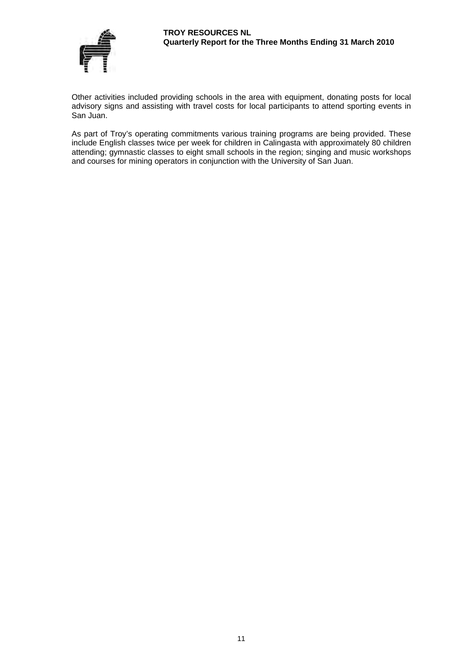

Other activities included providing schools in the area with equipment, donating posts for local advisory signs and assisting with travel costs for local participants to attend sporting events in San Juan.

As part of Troy's operating commitments various training programs are being provided. These include English classes twice per week for children in Calingasta with approximately 80 children attending; gymnastic classes to eight small schools in the region; singing and music workshops and courses for mining operators in conjunction with the University of San Juan.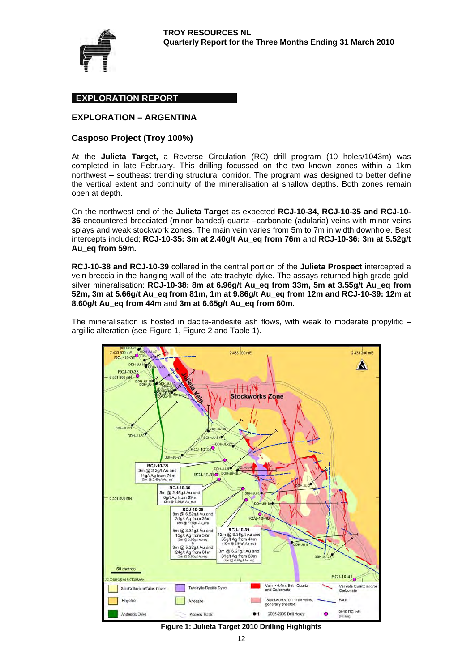

#### **EXPLORATION REPORT**

#### **EXPLORATION – ARGENTINA**

#### **Casposo Project (Troy 100%)**

At the **Julieta Target,** a Reverse Circulation (RC) drill program (10 holes/1043m) was completed in late February. This drilling focussed on the two known zones within a 1km northwest – southeast trending structural corridor. The program was designed to better define the vertical extent and continuity of the mineralisation at shallow depths. Both zones remain open at depth.

On the northwest end of the **Julieta Target** as expected **RCJ-10-34, RCJ-10-35 and RCJ-10- 36** encountered brecciated (minor banded) quartz –carbonate (adularia) veins with minor veins splays and weak stockwork zones. The main vein varies from 5m to 7m in width downhole. Best intercepts included; **RCJ-10-35: 3m at 2.40g/t Au\_eq from 76m** and **RCJ-10-36: 3m at 5.52g/t Au\_eq from 59m.**

**RCJ-10-38 and RCJ-10-39** collared in the central portion of the **Julieta Prospect** intercepted a vein breccia in the hanging wall of the late trachyte dyke. The assays returned high grade goldsilver mineralisation: **RCJ-10-38: 8m at 6.96g/t Au\_eq from 33m, 5m at 3.55g/t Au\_eq from 52m, 3m at 5.66g/t Au\_eq from 81m, 1m at 9.86g/t Au\_eq from 12m and RCJ-10-39: 12m at 8.60g/t Au\_eq from 44m** and **3m at 6.65g/t Au\_eq from 60m.**

The mineralisation is hosted in dacite-andesite ash flows, with weak to moderate propylitic – argillic alteration (see Figure 1, Figure 2 and Table 1).



**Figure 1: Julieta Target 2010 Drilling Highlights**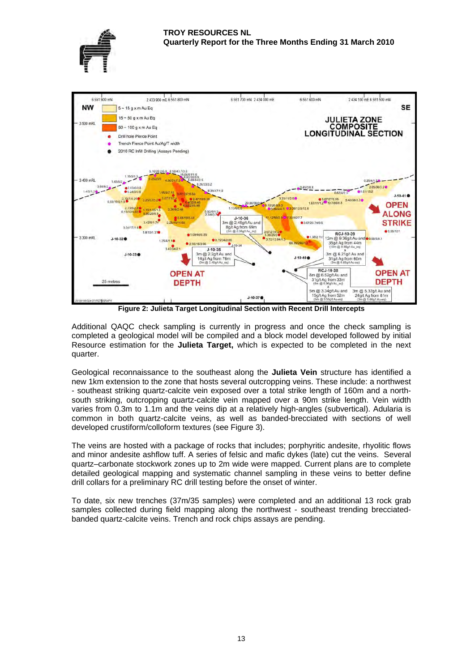



**Figure 2: Julieta Target Longitudinal Section with Recent Drill Intercepts** 

Additional QAQC check sampling is currently in progress and once the check sampling is completed a geological model will be compiled and a block model developed followed by initial Resource estimation for the **Julieta Target,** which is expected to be completed in the next quarter.

Geological reconnaissance to the southeast along the **Julieta Vein** structure has identified a new 1km extension to the zone that hosts several outcropping veins. These include: a northwest - southeast striking quartz-calcite vein exposed over a total strike length of 160m and a northsouth striking, outcropping quartz-calcite vein mapped over a 90m strike length. Vein width varies from 0.3m to 1.1m and the veins dip at a relatively high-angles (subvertical). Adularia is common in both quartz-calcite veins, as well as banded-brecciated with sections of well developed crustiform/colloform textures (see Figure 3).

The veins are hosted with a package of rocks that includes; porphyritic andesite, rhyolitic flows and minor andesite ashflow tuff. A series of felsic and mafic dykes (late) cut the veins. Several quartz–carbonate stockwork zones up to 2m wide were mapped. Current plans are to complete detailed geological mapping and systematic channel sampling in these veins to better define drill collars for a preliminary RC drill testing before the onset of winter.

To date, six new trenches (37m/35 samples) were completed and an additional 13 rock grab samples collected during field mapping along the northwest - southeast trending brecciatedbanded quartz-calcite veins. Trench and rock chips assays are pending.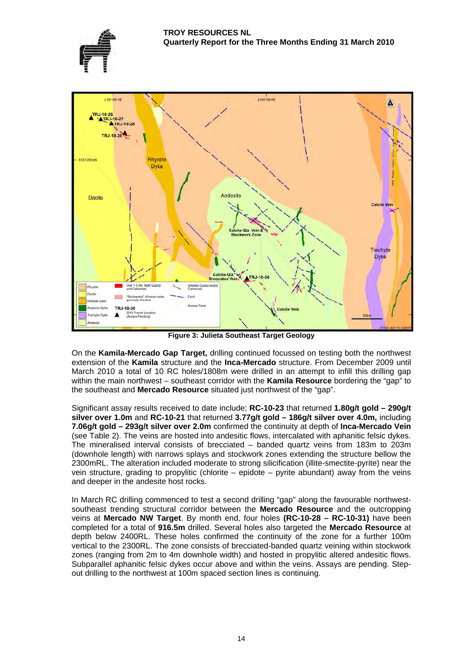



**Figure 3: Julieta Southeast Target Geology** 

On the **Kamila-Mercado Gap Target,** drilling continued focussed on testing both the northwest extension of the **Kamila** structure and the **Inca-Mercado** structure. From December 2009 until March 2010 a total of 10 RC holes/1808m were drilled in an attempt to infill this drilling gap within the main northwest – southeast corridor with the **Kamila Resource** bordering the "gap" to the southeast and **Mercado Resource** situated just northwest of the "gap".

Significant assay results received to date include; **RC-10-23** that returned **1.80g/t gold – 290g/t silver over 1.0m** and **RC-10-21** that returned **3.77g/t gold – 186g/t silver over 4.0m,** including **7.06g/t gold – 293g/t silver over 2.0m** confirmed the continuity at depth of **Inca-Mercado Vein**  (see Table 2). The veins are hosted into andesitic flows, intercalated with aphanitic felsic dykes. The mineralised interval consists of brecciated – banded quartz veins from 183m to 203m (downhole length) with narrows splays and stockwork zones extending the structure bellow the 2300mRL. The alteration included moderate to strong silicification (illite-smectite-pyrite) near the vein structure, grading to propylitic (chlorite – epidote – pyrite abundant) away from the veins and deeper in the andesite host rocks.

In March RC drilling commenced to test a second drilling "gap" along the favourable northwestsoutheast trending structural corridor between the **Mercado Resource** and the outcropping veins at **Mercado NW Target**. By month end, four holes **(RC-10-28 – RC-10-31)** have been completed for a total of **916.5m** drilled. Several holes also targeted the **Mercado Resource** at depth below 2400RL. These holes confirmed the continuity of the zone for a further 100m vertical to the 2300RL. The zone consists of brecciated-banded quartz veining within stockwork zones (ranging from 2m to 4m downhole width) and hosted in propylitic altered andesitic flows. Subparallel aphanitic felsic dykes occur above and within the veins. Assays are pending. Stepout drilling to the northwest at 100m spaced section lines is continuing.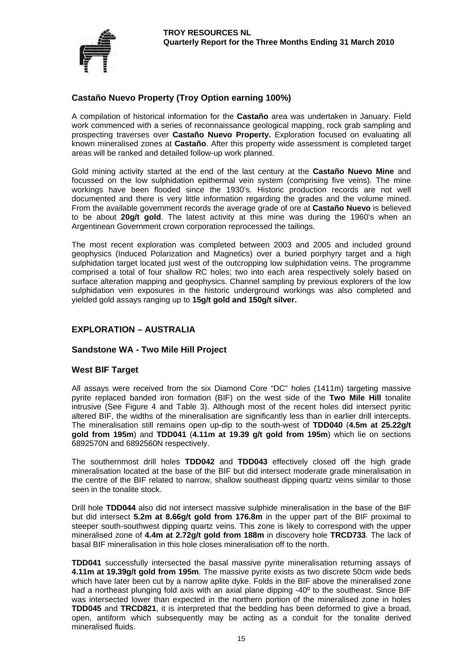

# **Castaño Nuevo Property (Troy Option earning 100%)**

A compilation of historical information for the **Castaño** area was undertaken in January. Field work commenced with a series of reconnaissance geological mapping, rock grab sampling and prospecting traverses over **Castaño Nuevo Property.** Exploration focused on evaluating all known mineralised zones at **Castaño**. After this property wide assessment is completed target areas will be ranked and detailed follow-up work planned.

Gold mining activity started at the end of the last century at the **Castaño Nuevo Mine** and focussed on the low sulphidation epithermal vein system (comprising five veins). The mine workings have been flooded since the 1930's. Historic production records are not well documented and there is very little information regarding the grades and the volume mined. From the available government records the average grade of ore at **Castaño Nuevo** is believed to be about **20g/t gold**. The latest activity at this mine was during the 1960's when an Argentinean Government crown corporation reprocessed the tailings.

The most recent exploration was completed between 2003 and 2005 and included ground geophysics (Induced Polarization and Magnetics) over a buried porphyry target and a high sulphidation target located just west of the outcropping low sulphidation veins. The programme comprised a total of four shallow RC holes; two into each area respectively solely based on surface alteration mapping and geophysics. Channel sampling by previous explorers of the low sulphidation vein exposures in the historic underground workings was also completed and yielded gold assays ranging up to **15g/t gold and 150g/t silver.**

# **EXPLORATION – AUSTRALIA**

#### **Sandstone WA - Two Mile Hill Project**

#### **West BIF Target**

All assays were received from the six Diamond Core "DC" holes (1411m) targeting massive pyrite replaced banded iron formation (BIF) on the west side of the **Two Mile Hill** tonalite intrusive (See Figure 4 and Table 3). Although most of the recent holes did intersect pyritic altered BIF, the widths of the mineralisation are significantly less than in earlier drill intercepts. The mineralisation still remains open up-dip to the south-west of **TDD040** (**4.5m at 25.22g/t gold from 195m**) and **TDD041** (**4.11m at 19.39 g/t gold from 195m**) which lie on sections 6892570N and 6892560N respectively.

The southernmost drill holes **TDD042** and **TDD043** effectively closed off the high grade mineralisation located at the base of the BIF but did intersect moderate grade mineralisation in the centre of the BIF related to narrow, shallow southeast dipping quartz veins similar to those seen in the tonalite stock.

Drill hole **TDD044** also did not intersect massive sulphide mineralisation in the base of the BIF but did intersect **5.2m at 8.66g/t gold from 176.8m** in the upper part of the BIF proximal to steeper south-southwest dipping quartz veins. This zone is likely to correspond with the upper mineralised zone of **4.4m at 2.72g/t gold from 188m** in discovery hole **TRCD733**. The lack of basal BIF mineralisation in this hole closes mineralisation off to the north.

**TDD041** successfully intersected the basal massive pyrite mineralisation returning assays of **4.11m at 19.39g/t gold from 195m**. The massive pyrite exists as two discrete 50cm wide beds which have later been cut by a narrow aplite dyke. Folds in the BIF above the mineralised zone had a northeast plunging fold axis with an axial plane dipping -40° to the southeast. Since BIF was intersected lower than expected in the northern portion of the mineralised zone in holes **TDD045** and **TRCD821**, it is interpreted that the bedding has been deformed to give a broad, open, antiform which subsequently may be acting as a conduit for the tonalite derived mineralised fluids.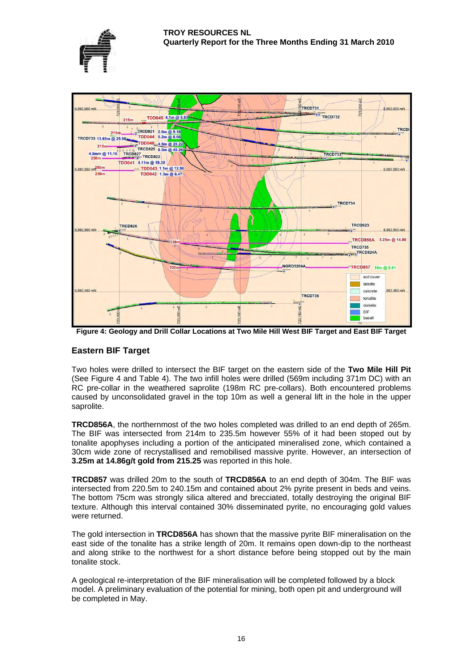



**Figure 4: Geology and Drill Collar Locations at Two Mile Hill West BIF Target and East BIF Target** 

### **Eastern BIF Target**

Two holes were drilled to intersect the BIF target on the eastern side of the **Two Mile Hill Pit**  (See Figure 4 and Table 4). The two infill holes were drilled (569m including 371m DC) with an RC pre-collar in the weathered saprolite (198m RC pre-collars). Both encountered problems caused by unconsolidated gravel in the top 10m as well a general lift in the hole in the upper saprolite.

**TRCD856A**, the northernmost of the two holes completed was drilled to an end depth of 265m. The BIF was intersected from 214m to 235.5m however 55% of it had been stoped out by tonalite apophyses including a portion of the anticipated mineralised zone, which contained a 30cm wide zone of recrystallised and remobilised massive pyrite. However, an intersection of **3.25m at 14.86g/t gold from 215.25** was reported in this hole.

**TRCD857** was drilled 20m to the south of **TRCD856A** to an end depth of 304m. The BIF was intersected from 220.5m to 240.15m and contained about 2% pyrite present in beds and veins. The bottom 75cm was strongly silica altered and brecciated, totally destroying the original BIF texture. Although this interval contained 30% disseminated pyrite, no encouraging gold values were returned.

The gold intersection in **TRCD856A** has shown that the massive pyrite BIF mineralisation on the east side of the tonalite has a strike length of 20m. It remains open down-dip to the northeast and along strike to the northwest for a short distance before being stopped out by the main tonalite stock.

A geological re-interpretation of the BIF mineralisation will be completed followed by a block model. A preliminary evaluation of the potential for mining, both open pit and underground will be completed in May.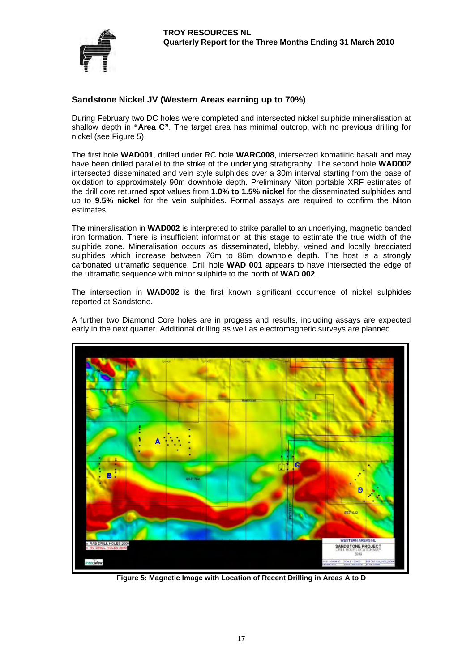

### **Sandstone Nickel JV (Western Areas earning up to 70%)**

During February two DC holes were completed and intersected nickel sulphide mineralisation at shallow depth in **"Area C"**. The target area has minimal outcrop, with no previous drilling for nickel (see Figure 5).

The first hole **WAD001**, drilled under RC hole **WARC008**, intersected komatiitic basalt and may have been drilled parallel to the strike of the underlying stratigraphy. The second hole **WAD002** intersected disseminated and vein style sulphides over a 30m interval starting from the base of oxidation to approximately 90m downhole depth. Preliminary Niton portable XRF estimates of the drill core returned spot values from **1.0% to 1.5% nickel** for the disseminated sulphides and up to **9.5% nickel** for the vein sulphides. Formal assays are required to confirm the Niton estimates.

The mineralisation in **WAD002** is interpreted to strike parallel to an underlying, magnetic banded iron formation. There is insufficient information at this stage to estimate the true width of the sulphide zone. Mineralisation occurs as disseminated, blebby, veined and locally brecciated sulphides which increase between 76m to 86m downhole depth. The host is a strongly carbonated ultramafic sequence. Drill hole **WAD 001** appears to have intersected the edge of the ultramafic sequence with minor sulphide to the north of **WAD 002**.

The intersection in **WAD002** is the first known significant occurrence of nickel sulphides reported at Sandstone.



A further two Diamond Core holes are in progess and results, including assays are expected early in the next quarter. Additional drilling as well as electromagnetic surveys are planned.

**Figure 5: Magnetic Image with Location of Recent Drilling in Areas A to D**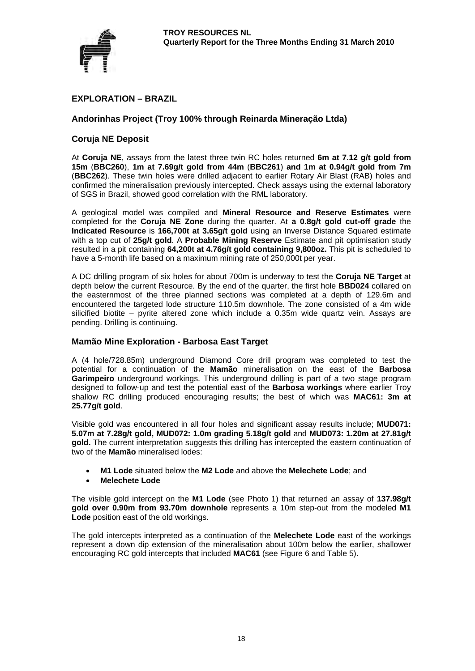

# **EXPLORATION – BRAZIL**

#### **Andorinhas Project (Troy 100% through Reinarda Mineração Ltda)**

#### **Coruja NE Deposit**

At **Coruja NE**, assays from the latest three twin RC holes returned **6m at 7.12 g/t gold from 15m** (**BBC260**), **1m at 7.69g/t gold from 44m** (**BBC261**) **and 1m at 0.94g/t gold from 7m**  (**BBC262**). These twin holes were drilled adjacent to earlier Rotary Air Blast (RAB) holes and confirmed the mineralisation previously intercepted. Check assays using the external laboratory of SGS in Brazil, showed good correlation with the RML laboratory.

A geological model was compiled and **Mineral Resource and Reserve Estimates** were completed for the **Coruja NE Zone** during the quarter. At **a 0.8g/t gold cut-off grade** the **Indicated Resource** is **166,700t at 3.65g/t gold** using an Inverse Distance Squared estimate with a top cut of **25g/t gold**. A **Probable Mining Reserve** Estimate and pit optimisation study resulted in a pit containing **64,200t at 4.76g/t gold containing 9,800oz.** This pit is scheduled to have a 5-month life based on a maximum mining rate of 250,000t per year.

A DC drilling program of six holes for about 700m is underway to test the **Coruja NE Target** at depth below the current Resource. By the end of the quarter, the first hole **BBD024** collared on the easternmost of the three planned sections was completed at a depth of 129.6m and encountered the targeted lode structure 110.5m downhole. The zone consisted of a 4m wide silicified biotite – pyrite altered zone which include a 0.35m wide quartz vein. Assays are pending. Drilling is continuing.

#### **Mamão Mine Exploration - Barbosa East Target**

A (4 hole/728.85m) underground Diamond Core drill program was completed to test the potential for a continuation of the **Mamão** mineralisation on the east of the **Barbosa Garimpeiro** underground workings. This underground drilling is part of a two stage program designed to follow-up and test the potential east of the **Barbosa workings** where earlier Troy shallow RC drilling produced encouraging results; the best of which was **MAC61: 3m at 25.77g/t gold**.

Visible gold was encountered in all four holes and significant assay results include; **MUD071: 5.07m at 7.28g/t gold, MUD072: 1.0m grading 5.18g/t gold** and **MUD073: 1.20m at 27.81g/t gold.** The current interpretation suggests this drilling has intercepted the eastern continuation of two of the **Mamão** mineralised lodes:

- **M1 Lode** situated below the **M2 Lode** and above the **Melechete Lode**; and
- **Melechete Lode**

The visible gold intercept on the **M1 Lode** (see Photo 1) that returned an assay of **137.98g/t gold over 0.90m from 93.70m downhole** represents a 10m step-out from the modeled **M1 Lode** position east of the old workings.

The gold intercepts interpreted as a continuation of the **Melechete Lode** east of the workings represent a down dip extension of the mineralisation about 100m below the earlier, shallower encouraging RC gold intercepts that included **MAC61** (see Figure 6 and Table 5).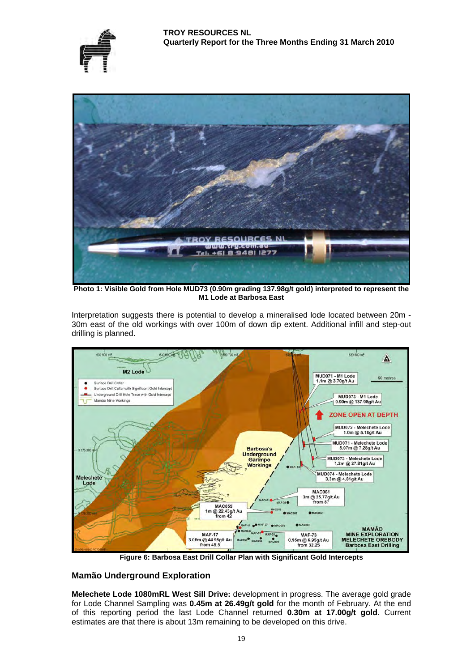



**Photo 1: Visible Gold from Hole MUD73 (0.90m grading 137.98g/t gold) interpreted to represent the M1 Lode at Barbosa East** 

Interpretation suggests there is potential to develop a mineralised lode located between 20m - 30m east of the old workings with over 100m of down dip extent. Additional infill and step-out drilling is planned.



**Figure 6: Barbosa East Drill Collar Plan with Significant Gold Intercepts**

### **Mamão Underground Exploration**

**Melechete Lode 1080mRL West Sill Drive:** development in progress. The average gold grade for Lode Channel Sampling was **0.45m at 26.49g/t gold** for the month of February. At the end of this reporting period the last Lode Channel returned **0.30m at 17.00g/t gold**. Current estimates are that there is about 13m remaining to be developed on this drive.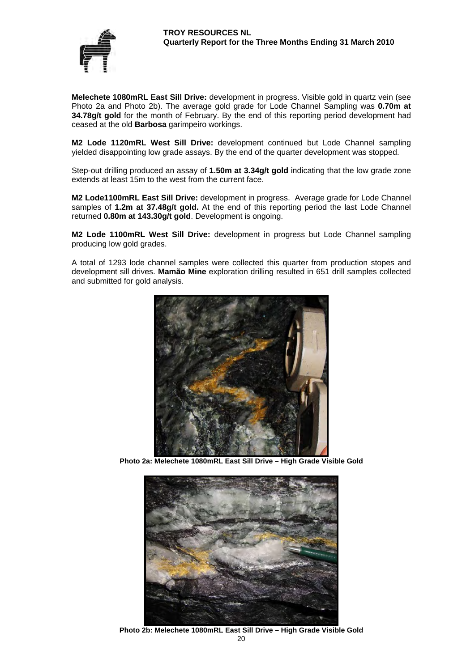

**Melechete 1080mRL East Sill Drive:** development in progress. Visible gold in quartz vein (see Photo 2a and Photo 2b). The average gold grade for Lode Channel Sampling was **0.70m at 34.78g/t gold** for the month of February. By the end of this reporting period development had ceased at the old **Barbosa** garimpeiro workings.

**M2 Lode 1120mRL West Sill Drive:** development continued but Lode Channel sampling yielded disappointing low grade assays. By the end of the quarter development was stopped.

Step-out drilling produced an assay of **1.50m at 3.34g/t gold** indicating that the low grade zone extends at least 15m to the west from the current face.

**M2 Lode1100mRL East Sill Drive:** development in progress. Average grade for Lode Channel samples of **1.2m at 37.48g/t gold.** At the end of this reporting period the last Lode Channel returned **0.80m at 143.30g/t gold**. Development is ongoing.

**M2 Lode 1100mRL West Sill Drive:** development in progress but Lode Channel sampling producing low gold grades.

A total of 1293 lode channel samples were collected this quarter from production stopes and development sill drives. **Mamão Mine** exploration drilling resulted in 651 drill samples collected and submitted for gold analysis.



**Photo 2a: Melechete 1080mRL East Sill Drive – High Grade Visible Gold** 



20 **Photo 2b: Melechete 1080mRL East Sill Drive – High Grade Visible Gold**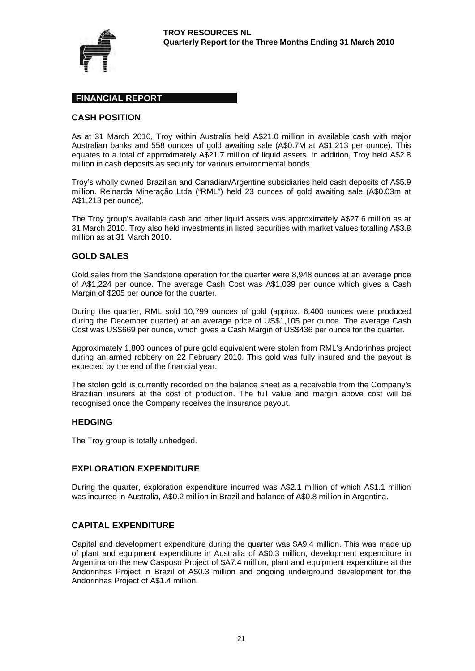

#### **FINANCIAL REPORT**

#### **CASH POSITION**

As at 31 March 2010, Troy within Australia held A\$21.0 million in available cash with major Australian banks and 558 ounces of gold awaiting sale (A\$0.7M at A\$1,213 per ounce). This equates to a total of approximately A\$21.7 million of liquid assets. In addition, Troy held A\$2.8 million in cash deposits as security for various environmental bonds.

Troy's wholly owned Brazilian and Canadian/Argentine subsidiaries held cash deposits of A\$5.9 million. Reinarda Mineração Ltda ("RML") held 23 ounces of gold awaiting sale (A\$0.03m at A\$1,213 per ounce).

The Troy group's available cash and other liquid assets was approximately A\$27.6 million as at 31 March 2010. Troy also held investments in listed securities with market values totalling A\$3.8 million as at 31 March 2010.

#### **GOLD SALES**

Gold sales from the Sandstone operation for the quarter were 8,948 ounces at an average price of A\$1,224 per ounce. The average Cash Cost was A\$1,039 per ounce which gives a Cash Margin of \$205 per ounce for the quarter.

During the quarter, RML sold 10,799 ounces of gold (approx. 6,400 ounces were produced during the December quarter) at an average price of US\$1,105 per ounce. The average Cash Cost was US\$669 per ounce, which gives a Cash Margin of US\$436 per ounce for the quarter.

Approximately 1,800 ounces of pure gold equivalent were stolen from RML's Andorinhas project during an armed robbery on 22 February 2010. This gold was fully insured and the payout is expected by the end of the financial year.

The stolen gold is currently recorded on the balance sheet as a receivable from the Company's Brazilian insurers at the cost of production. The full value and margin above cost will be recognised once the Company receives the insurance payout.

#### **HEDGING**

The Troy group is totally unhedged.

#### **EXPLORATION EXPENDITURE**

During the quarter, exploration expenditure incurred was A\$2.1 million of which A\$1.1 million was incurred in Australia, A\$0.2 million in Brazil and balance of A\$0.8 million in Argentina.

#### **CAPITAL EXPENDITURE**

Capital and development expenditure during the quarter was \$A9.4 million. This was made up of plant and equipment expenditure in Australia of A\$0.3 million, development expenditure in Argentina on the new Casposo Project of \$A7.4 million, plant and equipment expenditure at the Andorinhas Project in Brazil of A\$0.3 million and ongoing underground development for the Andorinhas Project of A\$1.4 million.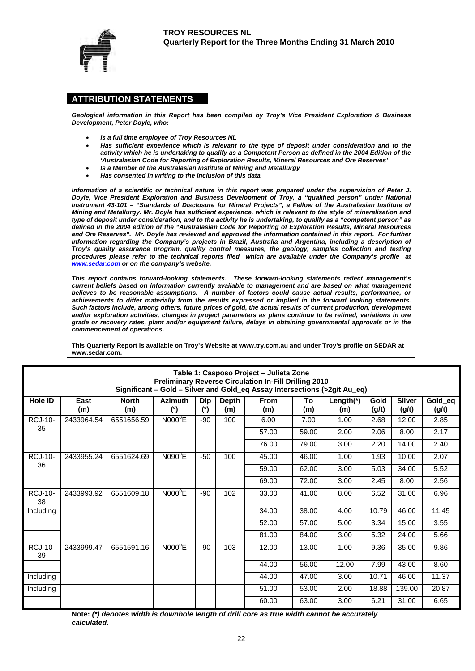

#### **ATTRIBUTION STATEMENTS**

*Geological information in this Report has been compiled by Troy's Vice President Exploration & Business Development, Peter Doyle, who:* 

- *Is a full time employee of Troy Resources NL*
- *Has sufficient experience which is relevant to the type of deposit under consideration and to the activity which he is undertaking to qualify as a Competent Person as defined in the 2004 Edition of the 'Australasian Code for Reporting of Exploration Results, Mineral Resources and Ore Reserves'*
- *Is a Member of the Australasian Institute of Mining and Metallurgy*
- *Has consented in writing to the inclusion of this data*

*Information of a scientific or technical nature in this report was prepared under the supervision of Peter J. Doyle, Vice President Exploration and Business Development of Troy, a "qualified person" under National Instrument 43-101 – "Standards of Disclosure for Mineral Projects", a Fellow of the Australasian Institute of Mining and Metallurgy. Mr. Doyle has sufficient experience, which is relevant to the style of mineralisation and type of deposit under consideration, and to the activity he is undertaking, to qualify as a "competent person" as defined in the 2004 edition of the "Australasian Code for Reporting of Exploration Results, Mineral Resources*  and Ore Reserves". Mr. Doyle has reviewed and approved the information contained in this report. For further *information regarding the Company's projects in Brazil, Australia and Argentina, including a description of Troy's quality assurance program, quality control measures, the geology, samples collection and testing procedures please refer to the technical reports filed which are available under the Company's profile at www.sedar.com or on the company's website.* 

*This report contains forward-looking statements. These forward-looking statements reflect management's current beliefs based on information currently available to management and are based on what management believes to be reasonable assumptions. A number of factors could cause actual results, performance, or achievements to differ materially from the results expressed or implied in the forward looking statements. Such factors include, among others, future prices of gold, the actual results of current production, development and/or exploration activities, changes in project parameters as plans continue to be refined, variations in ore grade or recovery rates, plant and/or equipment failure, delays in obtaining governmental approvals or in the commencement of operations.* 

| Table 1: Casposo Project - Julieta Zone<br><b>Preliminary Reverse Circulation In-Fill Drilling 2010</b><br>Significant - Gold - Silver and Gold_eq Assay Intersections (>2g/t Au_eq) |             |                     |                       |                   |                     |                    |           |                     |               |                        |                  |
|--------------------------------------------------------------------------------------------------------------------------------------------------------------------------------------|-------------|---------------------|-----------------------|-------------------|---------------------|--------------------|-----------|---------------------|---------------|------------------------|------------------|
| Hole ID                                                                                                                                                                              | East<br>(m) | <b>North</b><br>(m) | <b>Azimuth</b><br>(°) | <b>Dip</b><br>(°) | <b>Depth</b><br>(m) | <b>From</b><br>(m) | To<br>(m) | Length $(*)$<br>(m) | Gold<br>(g/t) | <b>Silver</b><br>(g/t) | Gold_eq<br>(g/t) |
| <b>RCJ-10-</b>                                                                                                                                                                       | 2433964.54  | 6551656.59          | $NOOO^{\circ}E$       | -90               | 100                 | 6.00               | 7.00      | 1.00                | 2.68          | 12.00                  | 2.85             |
| 35                                                                                                                                                                                   |             |                     |                       |                   |                     | 57.00              | 59.00     | 2.00                | 2.06          | 8.00                   | 2.17             |
|                                                                                                                                                                                      |             |                     |                       |                   |                     | 76.00              | 79.00     | 3.00                | 2.20          | 14.00                  | 2.40             |
| <b>RCJ-10-</b>                                                                                                                                                                       | 2433955.24  | 6551624.69          | $N090^{\circ}E$       | $-50$             | 100                 | 45.00              | 46.00     | 1.00                | 1.93          | 10.00                  | 2.07             |
| 36                                                                                                                                                                                   |             |                     |                       |                   |                     | 59.00              | 62.00     | 3.00                | 5.03          | 34.00                  | 5.52             |
|                                                                                                                                                                                      |             |                     |                       |                   |                     | 69.00              | 72.00     | 3.00                | 2.45          | 8.00                   | 2.56             |
| <b>RCJ-10-</b><br>38                                                                                                                                                                 | 2433993.92  | 6551609.18          | NOOO <sup>o</sup> E   | $-90$             | 102                 | 33.00              | 41.00     | 8.00                | 6.52          | 31.00                  | 6.96             |
| Including                                                                                                                                                                            |             |                     |                       |                   |                     | 34.00              | 38.00     | 4.00                | 10.79         | 46.00                  | 11.45            |
|                                                                                                                                                                                      |             |                     |                       |                   |                     | 52.00              | 57.00     | 5.00                | 3.34          | 15.00                  | 3.55             |
|                                                                                                                                                                                      |             |                     |                       |                   |                     | 81.00              | 84.00     | 3.00                | 5.32          | 24.00                  | 5.66             |
| <b>RCJ-10-</b><br>39                                                                                                                                                                 | 2433999.47  | 6551591.16          | $NOOO^{\circ}E$       | -90               | 103                 | 12.00              | 13.00     | 1.00                | 9.36          | 35.00                  | 9.86             |
|                                                                                                                                                                                      |             |                     |                       |                   |                     | 44.00              | 56.00     | 12.00               | 7.99          | 43.00                  | 8.60             |
| Including                                                                                                                                                                            |             |                     |                       |                   |                     | 44.00              | 47.00     | 3.00                | 10.71         | 46.00                  | 11.37            |
| Including                                                                                                                                                                            |             |                     |                       |                   |                     | 51.00              | 53.00     | 2.00                | 18.88         | 139.00                 | 20.87            |
|                                                                                                                                                                                      |             |                     |                       |                   |                     | 60.00              | 63.00     | 3.00                | 6.21          | 31.00                  | 6.65             |

**This Quarterly Report is available on Troy's Website at www.try.com.au and under Troy's profile on SEDAR at www.sedar.com.** 

**Note:** *(\*) denotes width is downhole length of drill core as true width cannot be accurately calculated.*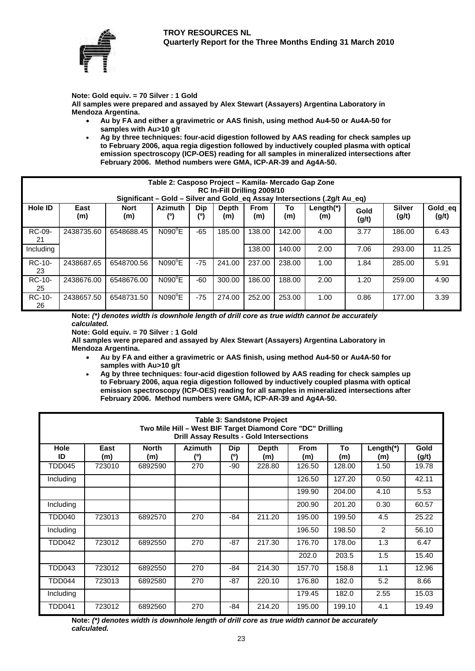

**Note: Gold equiv. = 70 Silver : 1 Gold** 

**All samples were prepared and assayed by Alex Stewart (Assayers) Argentina Laboratory in Mendoza Argentina.** 

- **Au by FA and either a gravimetric or AAS finish, using method Au4-50 or Au4A-50 for samples with Au>10 g/t**
- **Ag by three techniques: four-acid digestion followed by AAS reading for check samples up to February 2006, aqua regia digestion followed by inductively coupled plasma with optical emission spectroscopy (ICP-OES) reading for all samples in mineralized intersections after February 2006. Method numbers were GMA, ICP-AR-39 and Ag4A-50.**

|              | Table 2: Casposo Project – Kamila- Mercado Gap Zone                       |             |                 |       |              |             |        |           |       |               |         |  |
|--------------|---------------------------------------------------------------------------|-------------|-----------------|-------|--------------|-------------|--------|-----------|-------|---------------|---------|--|
|              | RC In-Fill Drilling 2009/10                                               |             |                 |       |              |             |        |           |       |               |         |  |
|              | Significant - Gold - Silver and Gold_eq Assay Intersections (.2g/t Au_eq) |             |                 |       |              |             |        |           |       |               |         |  |
| Hole ID      | East                                                                      | <b>Nort</b> | <b>Azimuth</b>  | Dip   | <b>Depth</b> | <b>From</b> | To     | Length(*) | Gold  | <b>Silver</b> | Gold_eq |  |
|              | (m)                                                                       | (m)         | (°)             | (º)   | (m)          | (m)         | (m)    | (m)       | (g/t) | (g/t)         | (g/t)   |  |
| RC-09-<br>21 | 2438735.60                                                                | 6548688.45  | $N090^{\circ}E$ | $-65$ | 185.00       | 138.00      | 142.00 | 4.00      | 3.77  | 186.00        | 6.43    |  |
| Including    |                                                                           |             |                 |       |              | 138.00      | 140.00 | 2.00      | 7.06  | 293.00        | 11.25   |  |
| RC-10-<br>23 | 2438687.65                                                                | 6548700.56  | $N090^{\circ}E$ | $-75$ | 241.00       | 237.00      | 238.00 | 1.00      | 1.84  | 285.00        | 5.91    |  |
| RC-10-<br>25 | 2438676.00                                                                | 6548676.00  | $N090^{\circ}E$ | $-60$ | 300.00       | 186.00      | 188.00 | 2.00      | 1.20  | 259.00        | 4.90    |  |
| RC-10-<br>26 | 2438657.50                                                                | 6548731.50  | $N090^{\circ}E$ | $-75$ | 274.00       | 252.00      | 253.00 | 1.00      | 0.86  | 177.00        | 3.39    |  |

**Note:** *(\*) denotes width is downhole length of drill core as true width cannot be accurately calculated.* 

**Note: Gold equiv. = 70 Silver : 1 Gold** 

**All samples were prepared and assayed by Alex Stewart (Assayers) Argentina Laboratory in Mendoza Argentina.** 

 **Au by FA and either a gravimetric or AAS finish, using method Au4-50 or Au4A-50 for samples with Au>10 g/t** 

 **Ag by three techniques: four-acid digestion followed by AAS reading for check samples up to February 2006, aqua regia digestion followed by inductively coupled plasma with optical emission spectroscopy (ICP-OES) reading for all samples in mineralized intersections after February 2006. Method numbers were GMA, ICP-AR-39 and Ag4A-50.**

| <b>Table 3: Sandstone Project</b><br>Two Mile Hill - West BIF Target Diamond Core "DC" Drilling<br><b>Drill Assay Results - Gold Intersections</b> |             |                     |                       |                   |                     |                    |           |                  |               |  |  |
|----------------------------------------------------------------------------------------------------------------------------------------------------|-------------|---------------------|-----------------------|-------------------|---------------------|--------------------|-----------|------------------|---------------|--|--|
| <b>Hole</b><br>ID                                                                                                                                  | East<br>(m) | <b>North</b><br>(m) | <b>Azimuth</b><br>(°) | <b>Dip</b><br>(°) | <b>Depth</b><br>(m) | <b>From</b><br>(m) | To<br>(m) | Length(*)<br>(m) | Gold<br>(g/t) |  |  |
| TDD045                                                                                                                                             | 723010      | 6892590             | 270                   | -90               | 228.80              | 126.50             | 128.00    | 1.50             | 19.78         |  |  |
| Including                                                                                                                                          |             |                     |                       |                   |                     | 126.50             | 127.20    | 0.50             | 42.11         |  |  |
|                                                                                                                                                    |             |                     |                       |                   |                     | 199.90             | 204.00    | 4.10             | 5.53          |  |  |
| Including                                                                                                                                          |             |                     |                       |                   |                     | 200.90             | 201.20    | 0.30             | 60.57         |  |  |
| TDD040                                                                                                                                             | 723013      | 6892570             | 270                   | -84               | 211.20              | 195.00             | 199.50    | 4.5              | 25.22         |  |  |
| Including                                                                                                                                          |             |                     |                       |                   |                     | 196.50             | 198.50    | 2                | 56.10         |  |  |
| TDD042                                                                                                                                             | 723012      | 6892550             | 270                   | $-87$             | 217.30              | 176.70             | 178.0o    | 1.3              | 6.47          |  |  |
|                                                                                                                                                    |             |                     |                       |                   |                     | 202.0              | 203.5     | 1.5              | 15.40         |  |  |
| TDD043                                                                                                                                             | 723012      | 6892550             | 270                   | -84               | 214.30              | 157.70             | 158.8     | 1.1              | 12.96         |  |  |
| TDD044                                                                                                                                             | 723013      | 6892580             | 270                   | $-87$             | 220.10              | 176.80             | 182.0     | 5.2              | 8.66          |  |  |
| Including                                                                                                                                          |             |                     |                       |                   |                     | 179.45             | 182.0     | 2.55             | 15.03         |  |  |
| <b>TDD041</b>                                                                                                                                      | 723012      | 6892560             | 270                   | -84               | 214.20              | 195.00             | 199.10    | 4.1              | 19.49         |  |  |

**Note:** *(\*) denotes width is downhole length of drill core as true width cannot be accurately calculated.*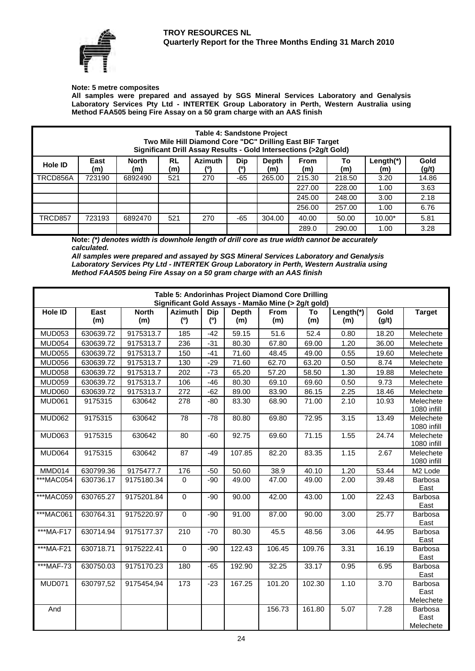

#### **Note: 5 metre composites**

**All samples were prepared and assayed by SGS Mineral Services Laboratory and Genalysis Laboratory Services Pty Ltd - INTERTEK Group Laboratory in Perth, Western Australia using Method FAA505 being Fire Assay on a 50 gram charge with an AAS finish** 

| Table 4: Sandstone Project<br>Two Mile Hill Diamond Core "DC" Drilling East BIF Target<br>Significant Drill Assay Results - Gold Intersections (>2g/t Gold)                                     |        |         |     |     |       |        |        |        |          |       |  |  |
|-------------------------------------------------------------------------------------------------------------------------------------------------------------------------------------------------|--------|---------|-----|-----|-------|--------|--------|--------|----------|-------|--|--|
| East<br><b>North</b><br><b>RL</b><br><b>Azimuth</b><br>Gold<br>Dip<br><b>From</b><br>Length(*)<br>Depth<br>To<br>Hole ID<br>(%<br>(g/t)<br>(0)<br>(m)<br>(m)<br>(m)<br>(m)<br>(m)<br>(m)<br>(m) |        |         |     |     |       |        |        |        |          |       |  |  |
| TRCD856A                                                                                                                                                                                        | 723190 | 6892490 | 521 | 270 | $-65$ | 265.00 | 215.30 | 218.50 | 3.20     | 14.86 |  |  |
|                                                                                                                                                                                                 |        |         |     |     |       |        | 227.00 | 228.00 | 1.00     | 3.63  |  |  |
|                                                                                                                                                                                                 |        |         |     |     |       |        | 245.00 | 248.00 | 3.00     | 2.18  |  |  |
|                                                                                                                                                                                                 |        |         |     |     |       |        | 256.00 | 257.00 | 1.00     | 6.76  |  |  |
| TRCD857                                                                                                                                                                                         | 723193 | 6892470 | 521 | 270 | $-65$ | 304.00 | 40.00  | 50.00  | $10.00*$ | 5.81  |  |  |
|                                                                                                                                                                                                 |        |         |     |     |       |        | 289.0  | 290.00 | 1.00     | 3.28  |  |  |

**Note:** *(\*) denotes width is downhole length of drill core as true width cannot be accurately calculated.* 

*All samples were prepared and assayed by SGS Mineral Services Laboratory and Genalysis Laboratory Services Pty Ltd - INTERTEK Group Laboratory in Perth, Western Australia using Method FAA505 being Fire Assay on a 50 gram charge with an AAS finish* 

| Table 5: Andorinhas Project Diamond Core Drilling<br>Significant Gold Assays - Mamão Mine (> 2g/t gold) |             |                     |                       |                   |                     |                    |           |                  |                     |                              |  |
|---------------------------------------------------------------------------------------------------------|-------------|---------------------|-----------------------|-------------------|---------------------|--------------------|-----------|------------------|---------------------|------------------------------|--|
| Hole ID                                                                                                 | East<br>(m) | <b>North</b><br>(m) | <b>Azimuth</b><br>(°) | <b>Dip</b><br>(°) | <b>Depth</b><br>(m) | <b>From</b><br>(m) | To<br>(m) | Length(*)<br>(m) | Gold<br>(g/t)       | <b>Target</b>                |  |
| <b>MUD053</b>                                                                                           | 630639.72   | 9175313.7           | 185                   | $-42$             | 59.15               | 51.6               | 52.4      | 0.80             | 18.20               | Melechete                    |  |
| <b>MUD054</b>                                                                                           | 630639.72   | 9175313.7           | 236                   | $-31$             | 80.30               | 67.80              | 69.00     | 1.20             | 36.00               | Melechete                    |  |
| <b>MUD055</b>                                                                                           | 630639.72   | 9175313.7           | 150                   | $-41$             | 71.60               | 48.45              | 49.00     | 0.55             | 19.60               | Melechete                    |  |
| <b>MUD056</b>                                                                                           | 630639.72   | 9175313.7           | 130                   | $-29$             | 71.60               | 62.70              | 63.20     | 0.50             | 8.74                | Melechete                    |  |
| <b>MUD058</b>                                                                                           | 630639.72   | 9175313.7           | 202                   | $-73$             | 65.20               | 57.20              | 58.50     | 1.30             | 19.88               | Melechete                    |  |
| <b>MUD059</b>                                                                                           | 630639.72   | 9175313.7           | 106                   | $-46$             | 80.30               | 69.10              | 69.60     | 0.50             | 9.73                | Melechete                    |  |
| <b>MUD060</b>                                                                                           | 630639.72   | 9175313.7           | 272                   | $-62$             | 89.00               | 83.90              | 86.15     | 2.25             | 18.46               | Melechete                    |  |
| MUD061                                                                                                  | 9175315     | 630642              | 278                   | $-80$             | 83.30               | 68.90              | 71.00     | 2.10             | 10.93               | Melechete<br>1080 infill     |  |
| <b>MUD062</b>                                                                                           | 9175315     | 630642              | $\overline{78}$       | $-78$             | 80.80               | 69.80              | 72.95     | 3.15             | 13.49               | Melechete<br>1080 infill     |  |
| <b>MUD063</b>                                                                                           | 9175315     | 630642              | 80                    | -60               | 92.75               | 69.60              | 71.15     | 1.55             | 24.74               | Melechete<br>1080 infill     |  |
| MUD064                                                                                                  | 9175315     | 630642              | 87                    | $-49$             | 107.85              | 82.20              | 83.35     | 1.15             | 2.67                | Melechete<br>1080 infill     |  |
| MMD014                                                                                                  | 630799.36   | 9175477.7           | 176                   | $-50$             | 50.60               | 38.9               | 40.10     | 1.20             | 53.44               | M <sub>2</sub> Lode          |  |
| ***MAC054                                                                                               | 630736.17   | 9175180.34          | 0                     | $-90$             | 49.00               | 47.00              | 49.00     | 2.00             | 39.48               | Barbosa<br>East              |  |
| ***MAC059                                                                                               | 630765.27   | 9175201.84          | $\mathbf 0$           | -90               | 90.00               | 42.00              | 43.00     | 1.00             | $\overline{2}$ 2.43 | Barbosa<br>East              |  |
| ***MAC061                                                                                               | 630764.31   | 9175220.97          | $\mathbf 0$           | $-90$             | 91.00               | 87.00              | 90.00     | 3.00             | 25.77               | Barbosa<br>East              |  |
| ***MA-F17                                                                                               | 630714.94   | 9175177.37          | 210                   | $-70$             | 80.30               | 45.5               | 48.56     | 3.06             | 44.95               | Barbosa<br>East              |  |
| ***MA-F21                                                                                               | 630718.71   | 9175222.41          | $\Omega$              | $-90$             | 122.43              | 106.45             | 109.76    | 3.31             | 16.19               | Barbosa<br>East              |  |
| ***MAF-73                                                                                               | 630750.03   | 9175170.23          | 180                   | $-65$             | 192.90              | 32.25              | 33.17     | 0.95             | 6.95                | Barbosa<br>East              |  |
| MUD071                                                                                                  | 630797,52   | 9175454,94          | 173                   | $-23$             | 167.25              | 101.20             | 102.30    | 1.10             | 3.70                | Barbosa<br>East<br>Melechete |  |
| And                                                                                                     |             |                     |                       |                   |                     | 156.73             | 161.80    | 5.07             | 7.28                | Barbosa<br>East<br>Melechete |  |